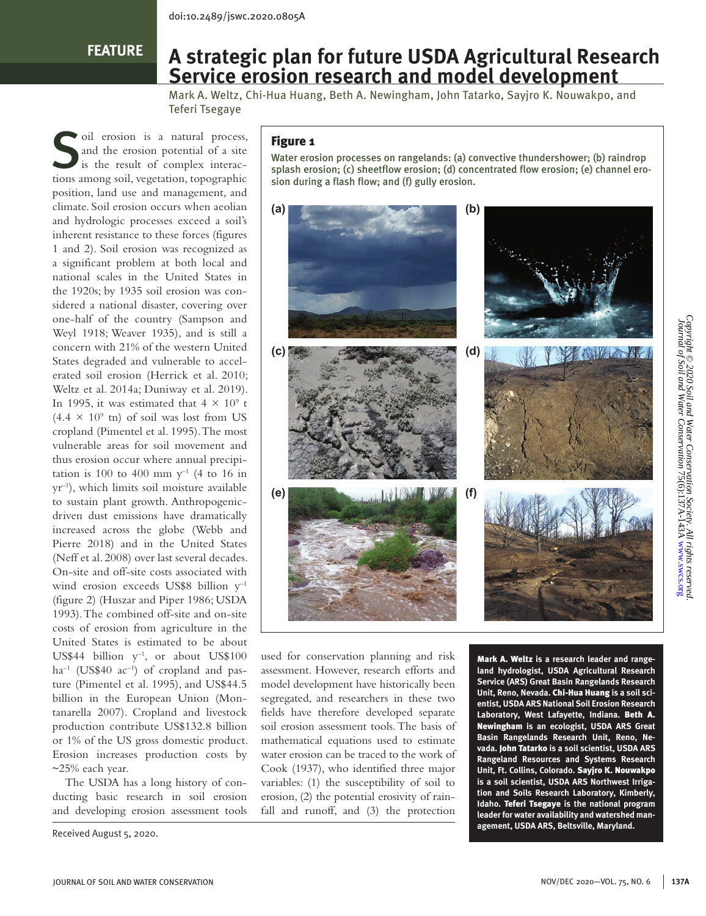**FEATURE**

# **A strategic plan for future USDA Agricultural Research Service erosion research and model development**

Mark A. Weltz, Chi-Hua Huang, Beth A. Newingham, John Tatarko, Sayjro K. Nouwakpo, and Teferi Tsegaye

oil erosion is a natural process, and the erosion potential of a site is the result of complex interactions among soil, vegetation, topographic position, land use and management, and climate. Soil erosion occurs when aeolian and hydrologic processes exceed a soil's inherent resistance to these forces (figures 1 and 2). Soil erosion was recognized as a significant problem at both local and national scales in the United States in the 1920s; by 1935 soil erosion was considered a national disaster, covering over one-half of the country (Sampson and Weyl 1918; Weaver 1935), and is still a concern with 21% of the western United States degraded and vulnerable to accelerated soil erosion (Herrick et al. 2010; Weltz et al. 2014a; Duniway et al. 2019). In 1995, it was estimated that  $4 \times 10^9$  t  $(4.4 \times 10^9 \text{ th})$  of soil was lost from US cropland (Pimentel et al. 1995). The most vulnerable areas for soil movement and thus erosion occur where annual precipitation is 100 to 400 mm  $y^{-1}$  (4 to 16 in yr–1), which limits soil moisture available to sustain plant growth. Anthropogenicdriven dust emissions have dramatically increased across the globe (Webb and Pierre 2018) and in the United States (Neff et al. 2008) over last several decades. On-site and off-site costs associated with wind erosion exceeds US\$8 billion y–1 (figure 2) (Huszar and Piper 1986; USDA 1993). The combined off-site and on-site costs of erosion from agriculture in the United States is estimated to be about US\$44 billion  $y^{-1}$ , or about US\$100 ha<sup>-1</sup> (US\$40 ac<sup>-1</sup>) of cropland and pasture (Pimentel et al. 1995), and US\$44.5 billion in the European Union (Montanarella 2007). Cropland and livestock production contribute US\$132.8 billion or 1% of the US gross domestic product. Erosion increases production costs by  $\approx$ 25% each year.

The USDA has a long history of conducting basic research in soil erosion and developing erosion assessment tools

## Figure 1

Water erosion processes on rangelands: (a) convective thundershower; (b) raindrop splash erosion; (c) sheetflow erosion; (d) concentrated flow erosion; (e) channel erosion during a flash flow; and (f) gully erosion.



used for conservation planning and risk assessment. However, research efforts and model development have historically been segregated, and researchers in these two fields have therefore developed separate soil erosion assessment tools. The basis of mathematical equations used to estimate water erosion can be traced to the work of Cook (1937), who identified three major variables: (1) the susceptibility of soil to erosion, (2) the potential erosivity of rainfall and runoff, and (3) the protection

Mark A. Weltz **is a research leader and rangeland hydrologist, USDA Agricultural Research Service (ARS) Great Basin Rangelands Research Unit, Reno, Nevada.** Chi-Hua Huang **is a soil scientist, USDA ARS National Soil Erosion Research Laboratory, West Lafayette, Indiana.** Beth A. Newingham **is an ecologist, USDA ARS Great Basin Rangelands Research Unit, Reno, Nevada.** John Tatarko **is a soil scientist, USDA ARS Rangeland Resources and Systems Research Unit, Ft. Collins, Colorado.** Sayjro K. Nouwakpo **is a soil scientist, USDA ARS Northwest Irrigation and Soils Research Laboratory, Kimberly, Idaho.** Teferi Tsegaye **is the national program leader for water availability and watershed management, USDA ARS, Beltsville, Maryland.** Received August 5, 2020.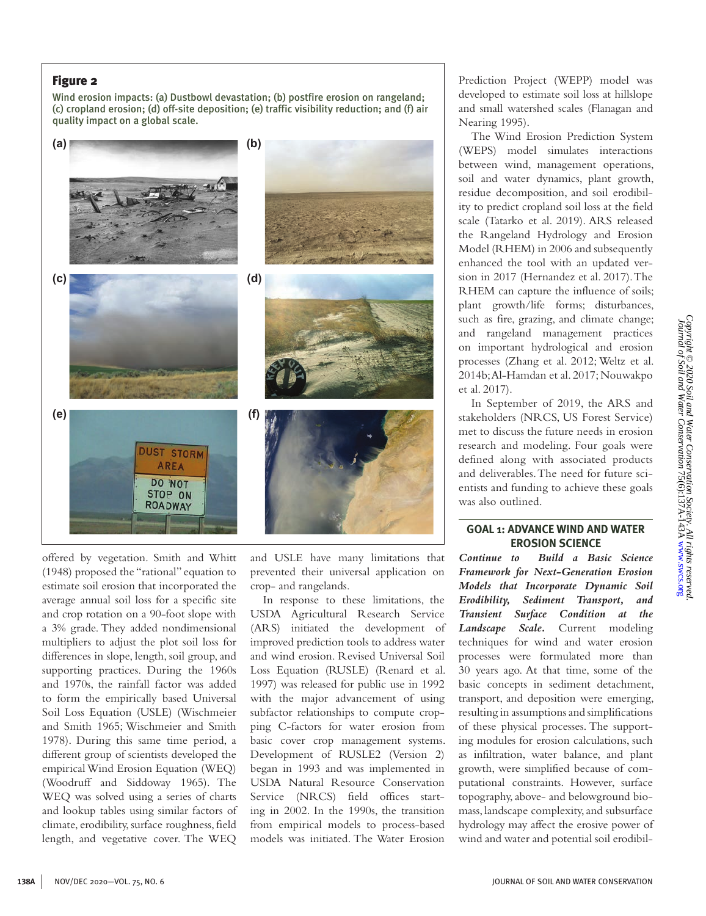## Figure 2

Wind erosion impacts: (a) Dustbowl devastation; (b) postfire erosion on rangeland; (c) cropland erosion; (d) off-site deposition; (e) traffic visibility reduction; and (f) air quality impact on a global scale.



offered by vegetation. Smith and Whitt (1948) proposed the "rational" equation to estimate soil erosion that incorporated the average annual soil loss for a specific site and crop rotation on a 90-foot slope with a 3% grade. They added nondimensional multipliers to adjust the plot soil loss for differences in slope, length, soil group, and supporting practices. During the 1960s and 1970s, the rainfall factor was added to form the empirically based Universal Soil Loss Equation (USLE) (Wischmeier and Smith 1965; Wischmeier and Smith 1978). During this same time period, a different group of scientists developed the empirical Wind Erosion Equation (WEQ) (Woodruff and Siddoway 1965). The WEQ was solved using a series of charts and lookup tables using similar factors of climate, erodibility, surface roughness, field length, and vegetative cover. The WEQ

and USLE have many limitations that prevented their universal application on crop- and rangelands.

In response to these limitations, the USDA Agricultural Research Service (ARS) initiated the development of improved prediction tools to address water and wind erosion. Revised Universal Soil Loss Equation (RUSLE) (Renard et al. 1997) was released for public use in 1992 with the major advancement of using subfactor relationships to compute cropping C-factors for water erosion from basic cover crop management systems. Development of RUSLE2 (Version 2) began in 1993 and was implemented in USDA Natural Resource Conservation Service (NRCS) field offices starting in 2002. In the 1990s, the transition from empirical models to process-based models was initiated. The Water Erosion

Prediction Project (WEPP) model was developed to estimate soil loss at hillslope and small watershed scales (Flanagan and Nearing 1995).

The Wind Erosion Prediction System (WEPS) model simulates interactions between wind, management operations, soil and water dynamics, plant growth, residue decomposition, and soil erodibility to predict cropland soil loss at the field scale (Tatarko et al. 2019). ARS released the Rangeland Hydrology and Erosion Model (RHEM) in 2006 and subsequently enhanced the tool with an updated version in 2017 (Hernandez et al. 2017). The RHEM can capture the influence of soils; plant growth/life forms; disturbances, such as fire, grazing, and climate change; and rangeland management practices on important hydrological and erosion processes (Zhang et al. 2012; Weltz et al. 2014b; Al-Hamdan et al. 2017; Nouwakpo et al. 2017).

In September of 2019, the ARS and stakeholders (NRCS, US Forest Service) met to discuss the future needs in erosion research and modeling. Four goals were defined along with associated products and deliverables. The need for future scientists and funding to achieve these goals was also outlined.

#### **GOAL 1: ADVANCE WIND AND WATER EROSION SCIENCE**

*Continue to Build a Basic Science Framework for Next-Generation Erosion Models that Incorporate Dynamic Soil Erodibility, Sediment Transport, and Transient Surface Condition at the Landscape Scale.* Current modeling techniques for wind and water erosion processes were formulated more than 30 years ago. At that time, some of the basic concepts in sediment detachment, transport, and deposition were emerging, resulting in assumptions and simplifications of these physical processes. The supporting modules for erosion calculations, such as infiltration, water balance, and plant growth, were simplified because of computational constraints. However, surface topography, above- and belowground biomass, landscape complexity, and subsurface hydrology may affect the erosive power of wind and water and potential soil erodibil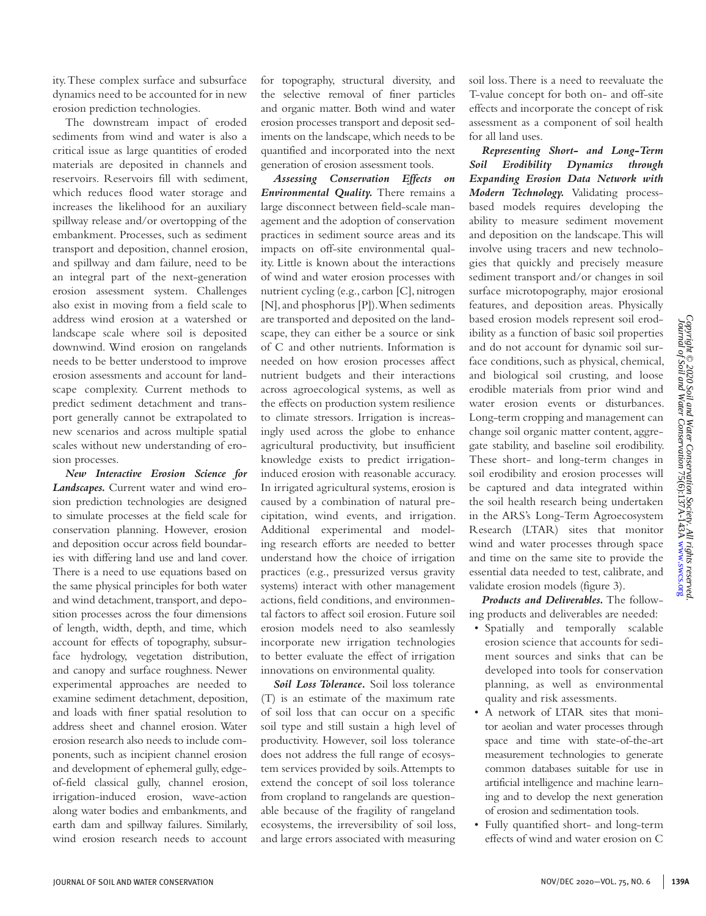ity. These complex surface and subsurface dynamics need to be accounted for in new erosion prediction technologies.

The downstream impact of eroded sediments from wind and water is also a critical issue as large quantities of eroded materials are deposited in channels and reservoirs. Reservoirs fill with sediment, which reduces flood water storage and increases the likelihood for an auxiliary spillway release and/or overtopping of the embankment. Processes, such as sediment transport and deposition, channel erosion, and spillway and dam failure, need to be an integral part of the next-generation erosion assessment system. Challenges also exist in moving from a field scale to address wind erosion at a watershed or landscape scale where soil is deposited downwind. Wind erosion on rangelands needs to be better understood to improve erosion assessments and account for landscape complexity. Current methods to predict sediment detachment and transport generally cannot be extrapolated to new scenarios and across multiple spatial scales without new understanding of erosion processes.

*New Interactive Erosion Science for Landscapes.* Current water and wind erosion prediction technologies are designed to simulate processes at the field scale for conservation planning. However, erosion and deposition occur across field boundaries with differing land use and land cover. There is a need to use equations based on the same physical principles for both water and wind detachment, transport, and deposition processes across the four dimensions of length, width, depth, and time, which account for effects of topography, subsurface hydrology, vegetation distribution, and canopy and surface roughness. Newer experimental approaches are needed to examine sediment detachment, deposition, and loads with finer spatial resolution to address sheet and channel erosion. Water erosion research also needs to include components, such as incipient channel erosion and development of ephemeral gully, edgeof-field classical gully, channel erosion, irrigation-induced erosion, wave-action along water bodies and embankments, and earth dam and spillway failures. Similarly, wind erosion research needs to account for topography, structural diversity, and the selective removal of finer particles and organic matter. Both wind and water erosion processes transport and deposit sediments on the landscape, which needs to be quantified and incorporated into the next generation of erosion assessment tools.

*Assessing Conservation Effects on Environmental Quality.* There remains a large disconnect between field-scale management and the adoption of conservation practices in sediment source areas and its impacts on off-site environmental quality. Little is known about the interactions of wind and water erosion processes with nutrient cycling (e.g., carbon [C], nitrogen [N], and phosphorus [P]). When sediments are transported and deposited on the landscape, they can either be a source or sink of C and other nutrients. Information is needed on how erosion processes affect nutrient budgets and their interactions across agroecological systems, as well as the effects on production system resilience to climate stressors. Irrigation is increasingly used across the globe to enhance agricultural productivity, but insufficient knowledge exists to predict irrigationinduced erosion with reasonable accuracy. In irrigated agricultural systems, erosion is caused by a combination of natural precipitation, wind events, and irrigation. Additional experimental and modeling research efforts are needed to better understand how the choice of irrigation practices (e.g., pressurized versus gravity systems) interact with other management actions, field conditions, and environmental factors to affect soil erosion. Future soil erosion models need to also seamlessly incorporate new irrigation technologies to better evaluate the effect of irrigation innovations on environmental quality.

*Soil Loss Tolerance.* Soil loss tolerance (T) is an estimate of the maximum rate of soil loss that can occur on a specific soil type and still sustain a high level of productivity. However, soil loss tolerance does not address the full range of ecosystem services provided by soils. Attempts to extend the concept of soil loss tolerance from cropland to rangelands are questionable because of the fragility of rangeland ecosystems, the irreversibility of soil loss, and large errors associated with measuring

soil loss. There is a need to reevaluate the T-value concept for both on- and off-site effects and incorporate the concept of risk assessment as a component of soil health for all land uses.

*Representing Short- and Long-Term Soil Erodibility Dynamics through Expanding Erosion Data Network with Modern Technology.* Validating processbased models requires developing the ability to measure sediment movement and deposition on the landscape. This will involve using tracers and new technologies that quickly and precisely measure sediment transport and/or changes in soil surface microtopography, major erosional features, and deposition areas. Physically based erosion models represent soil erodibility as a function of basic soil properties and do not account for dynamic soil surface conditions, such as physical, chemical, and biological soil crusting, and loose erodible materials from prior wind and water erosion events or disturbances. Long-term cropping and management can change soil organic matter content, aggregate stability, and baseline soil erodibility. These short- and long-term changes in soil erodibility and erosion processes will be captured and data integrated within the soil health research being undertaken in the ARS's Long-Term Agroecosystem Research (LTAR) sites that monitor wind and water processes through space and time on the same site to provide the essential data needed to test, calibrate, and validate erosion models (figure 3).

*Products and Deliverables.* The following products and deliverables are needed:

- Spatially and temporally scalable erosion science that accounts for sediment sources and sinks that can be developed into tools for conservation planning, as well as environmental quality and risk assessments.
- A network of LTAR sites that monitor aeolian and water processes through space and time with state-of-the-art measurement technologies to generate common databases suitable for use in artificial intelligence and machine learning and to develop the next generation of erosion and sedimentation tools.
- Fully quantified short- and long-term effects of wind and water erosion on C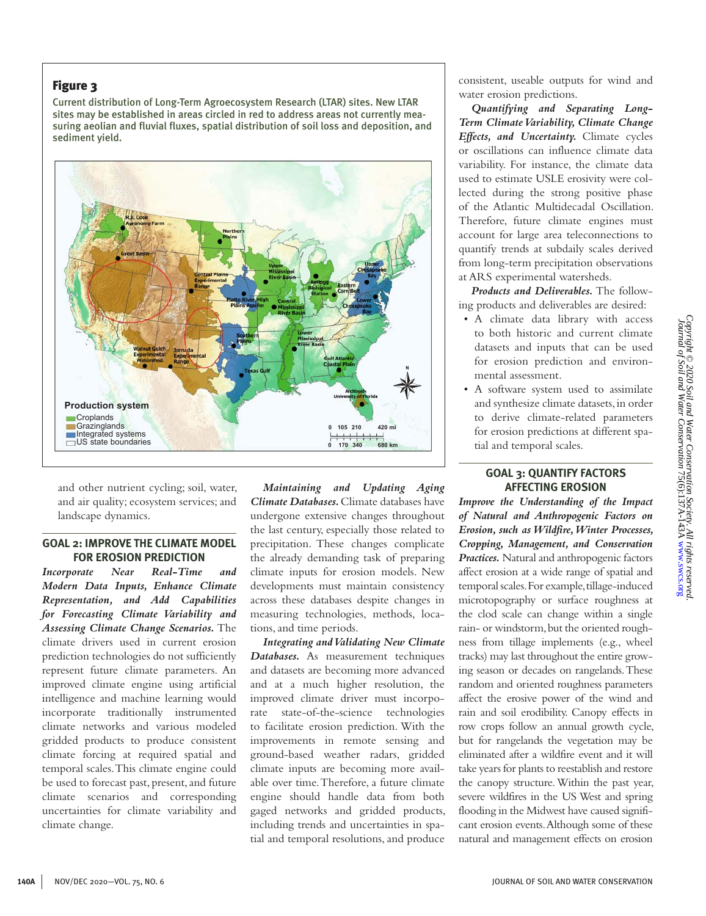# Figure 3

Current distribution of Long-Term Agroecosystem Research (LTAR) sites. New LTAR sites may be established in areas circled in red to address areas not currently measuring aeolian and fluvial fluxes, spatial distribution of soil loss and deposition, and sediment yield.



and other nutrient cycling; soil, water, and air quality; ecosystem services; and landscape dynamics.

#### **GOAL 2: IMPROVE THE CLIMATE MODEL FOR EROSION PREDICTION**

*Incorporate Near Real-Time and Modern Data Inputs, Enhance Climate Representation, and Add Capabilities for Forecasting Climate Variability and Assessing Climate Change Scenarios.* The climate drivers used in current erosion prediction technologies do not sufficiently represent future climate parameters. An improved climate engine using artificial intelligence and machine learning would incorporate traditionally instrumented climate networks and various modeled gridded products to produce consistent climate forcing at required spatial and temporal scales. This climate engine could be used to forecast past, present, and future climate scenarios and corresponding uncertainties for climate variability and climate change.

*Maintaining and Updating Aging Climate Databases.* Climate databases have undergone extensive changes throughout the last century, especially those related to precipitation. These changes complicate the already demanding task of preparing climate inputs for erosion models. New developments must maintain consistency across these databases despite changes in measuring technologies, methods, locations, and time periods.

*Integrating and Validating New Climate Databases.* As measurement techniques and datasets are becoming more advanced and at a much higher resolution, the improved climate driver must incorporate state-of-the-science technologies to facilitate erosion prediction. With the improvements in remote sensing and ground-based weather radars, gridded climate inputs are becoming more available over time. Therefore, a future climate engine should handle data from both gaged networks and gridded products, including trends and uncertainties in spatial and temporal resolutions, and produce

consistent, useable outputs for wind and water erosion predictions.

*Quantifying and Separating Long-Term Climate Variability, Climate Change Effects, and Uncertainty.* Climate cycles or oscillations can influence climate data variability. For instance, the climate data used to estimate USLE erosivity were collected during the strong positive phase of the Atlantic Multidecadal Oscillation. Therefore, future climate engines must account for large area teleconnections to quantify trends at subdaily scales derived from long-term precipitation observations at ARS experimental watersheds.

*Products and Deliverables.* The following products and deliverables are desired:

- A climate data library with access to both historic and current climate datasets and inputs that can be used for erosion prediction and environmental assessment.
- A software system used to assimilate and synthesize climate datasets, in order to derive climate-related parameters for erosion predictions at different spatial and temporal scales.

### **GOAL 3: QUANTIFY FACTORS AFFECTING EROSION**

*Improve the Understanding of the Impact of Natural and Anthropogenic Factors on Erosion, such as Wildfire, Winter Processes, Cropping, Management, and Conservation Practices.* Natural and anthropogenic factors affect erosion at a wide range of spatial and temporal scales. For example, tillage-induced microtopography or surface roughness at the clod scale can change within a single rain- or windstorm, but the oriented roughness from tillage implements (e.g., wheel tracks) may last throughout the entire growing season or decades on rangelands. These random and oriented roughness parameters affect the erosive power of the wind and rain and soil erodibility. Canopy effects in row crops follow an annual growth cycle, but for rangelands the vegetation may be eliminated after a wildfire event and it will take years for plants to reestablish and restore the canopy structure. Within the past year, severe wildfires in the US West and spring flooding in the Midwest have caused significant erosion events. Although some of these natural and management effects on erosion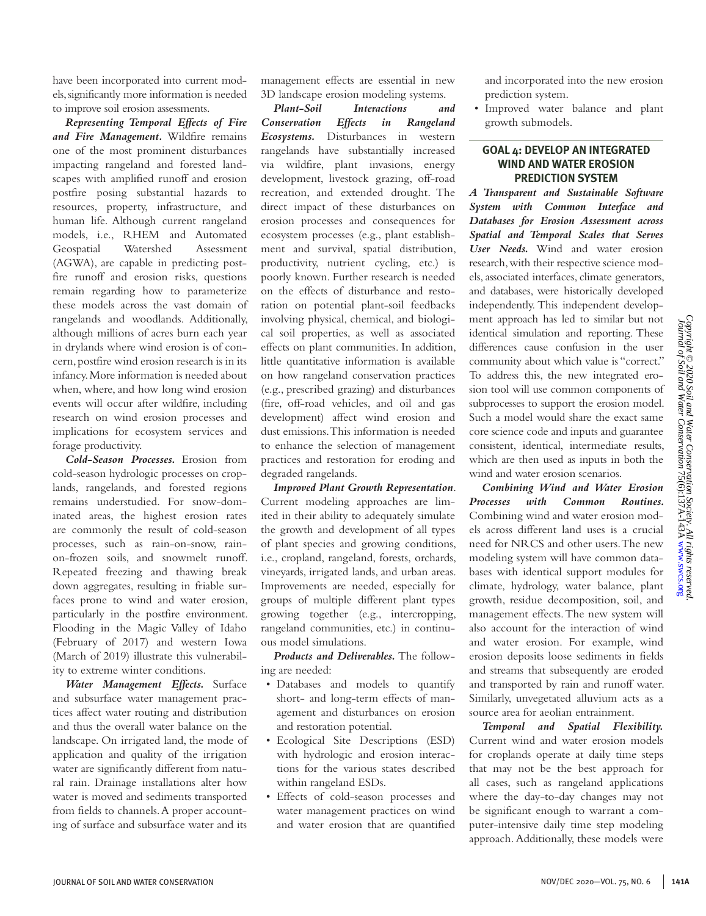have been incorporated into current models, significantly more information is needed to improve soil erosion assessments.

*Representing Temporal Effects of Fire and Fire Management.* Wildfire remains one of the most prominent disturbances impacting rangeland and forested landscapes with amplified runoff and erosion postfire posing substantial hazards to resources, property, infrastructure, and human life. Although current rangeland models, i.e., RHEM and Automated Geospatial Watershed Assessment (AGWA), are capable in predicting postfire runoff and erosion risks, questions remain regarding how to parameterize these models across the vast domain of rangelands and woodlands. Additionally, although millions of acres burn each year in drylands where wind erosion is of concern, postfire wind erosion research is in its infancy. More information is needed about when, where, and how long wind erosion events will occur after wildfire, including research on wind erosion processes and implications for ecosystem services and forage productivity.

*Cold-Season Processes.* Erosion from cold-season hydrologic processes on croplands, rangelands, and forested regions remains understudied. For snow-dominated areas, the highest erosion rates are commonly the result of cold-season processes, such as rain-on-snow, rainon-frozen soils, and snowmelt runoff. Repeated freezing and thawing break down aggregates, resulting in friable surfaces prone to wind and water erosion, particularly in the postfire environment. Flooding in the Magic Valley of Idaho (February of 2017) and western Iowa (March of 2019) illustrate this vulnerability to extreme winter conditions.

*Water Management Effects.* Surface and subsurface water management practices affect water routing and distribution and thus the overall water balance on the landscape. On irrigated land, the mode of application and quality of the irrigation water are significantly different from natural rain. Drainage installations alter how water is moved and sediments transported from fields to channels. A proper accounting of surface and subsurface water and its

management effects are essential in new 3D landscape erosion modeling systems.

*Plant-Soil Interactions and Conservation Effects in Rangeland Ecosystems.* Disturbances in western rangelands have substantially increased via wildfire, plant invasions, energy development, livestock grazing, off-road recreation, and extended drought. The direct impact of these disturbances on erosion processes and consequences for ecosystem processes (e.g., plant establishment and survival, spatial distribution, productivity, nutrient cycling, etc.) is poorly known. Further research is needed on the effects of disturbance and restoration on potential plant-soil feedbacks involving physical, chemical, and biological soil properties, as well as associated effects on plant communities. In addition, little quantitative information is available on how rangeland conservation practices (e.g., prescribed grazing) and disturbances (fire, off-road vehicles, and oil and gas development) affect wind erosion and dust emissions. This information is needed to enhance the selection of management practices and restoration for eroding and degraded rangelands.

*Improved Plant Growth Representation*. Current modeling approaches are limited in their ability to adequately simulate the growth and development of all types of plant species and growing conditions, i.e., cropland, rangeland, forests, orchards, vineyards, irrigated lands, and urban areas. Improvements are needed, especially for groups of multiple different plant types growing together (e.g., intercropping, rangeland communities, etc.) in continuous model simulations.

*Products and Deliverables.* The following are needed:

- Databases and models to quantify short- and long-term effects of management and disturbances on erosion and restoration potential.
- Ecological Site Descriptions (ESD) with hydrologic and erosion interactions for the various states described within rangeland ESDs.
- Effects of cold-season processes and water management practices on wind and water erosion that are quantified

and incorporated into the new erosion prediction system.

• Improved water balance and plant growth submodels.

#### **GOAL 4: DEVELOP AN INTEGRATED WIND AND WATER EROSION PREDICTION SYSTEM**

*A Transparent and Sustainable Software System with Common Interface and Databases for Erosion Assessment across Spatial and Temporal Scales that Serves User Needs.* Wind and water erosion research, with their respective science models, associated interfaces, climate generators, and databases, were historically developed independently. This independent development approach has led to similar but not identical simulation and reporting. These differences cause confusion in the user community about which value is "correct." To address this, the new integrated erosion tool will use common components of subprocesses to support the erosion model. Such a model would share the exact same core science code and inputs and guarantee consistent, identical, intermediate results, which are then used as inputs in both the wind and water erosion scenarios.

*Combining Wind and Water Erosion Processes with Common Routines.*  Combining wind and water erosion models across different land uses is a crucial need for NRCS and other users. The new modeling system will have common databases with identical support modules for climate, hydrology, water balance, plant growth, residue decomposition, soil, and management effects. The new system will also account for the interaction of wind and water erosion. For example, wind erosion deposits loose sediments in fields and streams that subsequently are eroded and transported by rain and runoff water. Similarly, unvegetated alluvium acts as a

*Temporal and Spatial Flexibility.* Current wind and water erosion models for croplands operate at daily time steps that may not be the best approach for all cases, such as rangeland applications where the day-to-day changes may not be significant enough to warrant a computer-intensive daily time step modeling approach. Additionally, these models were

source area for aeolian entrainment.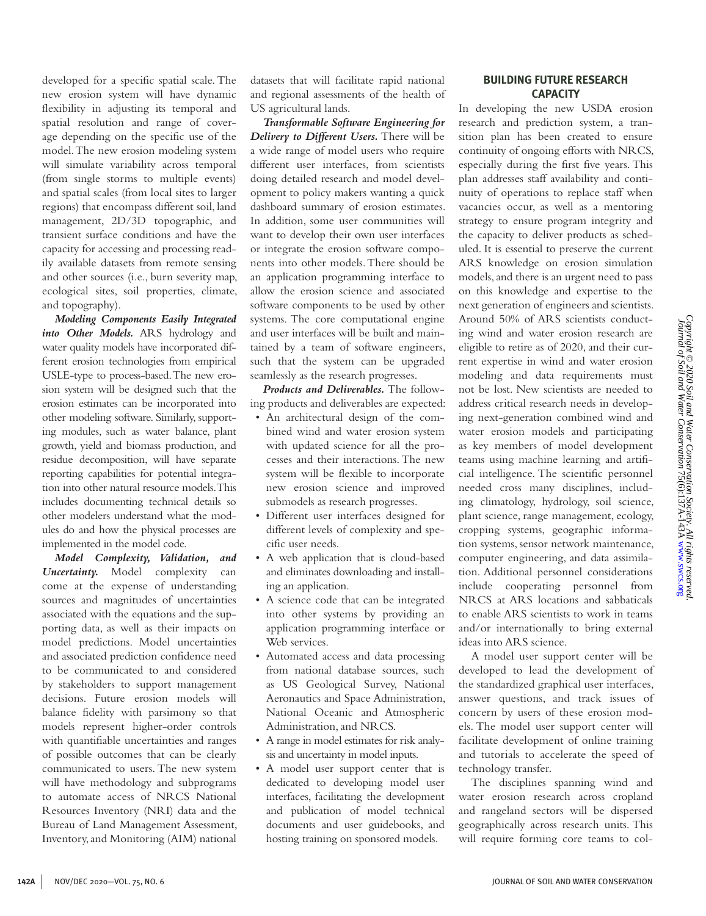developed for a specific spatial scale. The new erosion system will have dynamic flexibility in adjusting its temporal and spatial resolution and range of coverage depending on the specific use of the model. The new erosion modeling system will simulate variability across temporal (from single storms to multiple events) and spatial scales (from local sites to larger regions) that encompass different soil, land management, 2D/3D topographic, and transient surface conditions and have the capacity for accessing and processing readily available datasets from remote sensing and other sources (i.e., burn severity map, ecological sites, soil properties, climate, and topography).

*Modeling Components Easily Integrated into Other Models.* ARS hydrology and water quality models have incorporated different erosion technologies from empirical USLE-type to process-based. The new erosion system will be designed such that the erosion estimates can be incorporated into other modeling software. Similarly, supporting modules, such as water balance, plant growth, yield and biomass production, and residue decomposition, will have separate reporting capabilities for potential integration into other natural resource models. This includes documenting technical details so other modelers understand what the modules do and how the physical processes are implemented in the model code.

*Model Complexity, Validation, and Uncertainty.* Model complexity can come at the expense of understanding sources and magnitudes of uncertainties associated with the equations and the supporting data, as well as their impacts on model predictions. Model uncertainties and associated prediction confidence need to be communicated to and considered by stakeholders to support management decisions. Future erosion models will balance fidelity with parsimony so that models represent higher-order controls with quantifiable uncertainties and ranges of possible outcomes that can be clearly communicated to users. The new system will have methodology and subprograms to automate access of NRCS National Resources Inventory (NRI) data and the Bureau of Land Management Assessment, Inventory, and Monitoring (AIM) national

datasets that will facilitate rapid national and regional assessments of the health of US agricultural lands.

*Transformable Software Engineering for Delivery to Different Users.* There will be a wide range of model users who require different user interfaces, from scientists doing detailed research and model development to policy makers wanting a quick dashboard summary of erosion estimates. In addition, some user communities will want to develop their own user interfaces or integrate the erosion software components into other models. There should be an application programming interface to allow the erosion science and associated software components to be used by other systems. The core computational engine and user interfaces will be built and maintained by a team of software engineers, such that the system can be upgraded seamlessly as the research progresses.

*Products and Deliverables.* The following products and deliverables are expected:

- An architectural design of the combined wind and water erosion system with updated science for all the processes and their interactions. The new system will be flexible to incorporate new erosion science and improved submodels as research progresses.
- Different user interfaces designed for different levels of complexity and specific user needs.
- A web application that is cloud-based and eliminates downloading and installing an application.
- A science code that can be integrated into other systems by providing an application programming interface or Web services.
- Automated access and data processing from national database sources, such as US Geological Survey, National Aeronautics and Space Administration, National Oceanic and Atmospheric Administration, and NRCS.
- A range in model estimates for risk analysis and uncertainty in model inputs.
- A model user support center that is dedicated to developing model user interfaces, facilitating the development and publication of model technical documents and user guidebooks, and hosting training on sponsored models.

#### **BUILDING FUTURE RESEARCH CAPACITY**

In developing the new USDA erosion research and prediction system, a transition plan has been created to ensure continuity of ongoing efforts with NRCS, especially during the first five years. This plan addresses staff availability and continuity of operations to replace staff when vacancies occur, as well as a mentoring strategy to ensure program integrity and the capacity to deliver products as scheduled. It is essential to preserve the current ARS knowledge on erosion simulation models, and there is an urgent need to pass on this knowledge and expertise to the next generation of engineers and scientists. Around 50% of ARS scientists conducting wind and water erosion research are eligible to retire as of 2020, and their current expertise in wind and water erosion modeling and data requirements must not be lost. New scientists are needed to address critical research needs in developing next-generation combined wind and water erosion models and participating as key members of model development teams using machine learning and artificial intelligence. The scientific personnel needed cross many disciplines, including climatology, hydrology, soil science, plant science, range management, ecology, cropping systems, geographic information systems, sensor network maintenance, computer engineering, and data assimilation. Additional personnel considerations include cooperating personnel from NRCS at ARS locations and sabbaticals to enable ARS scientists to work in teams and/or internationally to bring external ideas into ARS science.

A model user support center will be developed to lead the development of the standardized graphical user interfaces, answer questions, and track issues of concern by users of these erosion models. The model user support center will facilitate development of online training and tutorials to accelerate the speed of technology transfer.

The disciplines spanning wind and water erosion research across cropland and rangeland sectors will be dispersed geographically across research units. This will require forming core teams to col